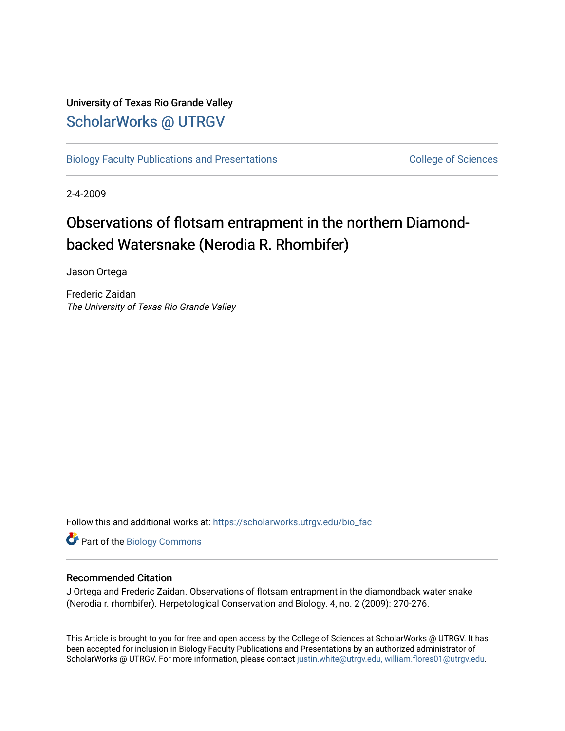## University of Texas Rio Grande Valley [ScholarWorks @ UTRGV](https://scholarworks.utrgv.edu/)

[Biology Faculty Publications and Presentations](https://scholarworks.utrgv.edu/bio_fac) College of Sciences

2-4-2009

# Observations of flotsam entrapment in the northern Diamondbacked Watersnake (Nerodia R. Rhombifer)

Jason Ortega

Frederic Zaidan The University of Texas Rio Grande Valley

Follow this and additional works at: [https://scholarworks.utrgv.edu/bio\\_fac](https://scholarworks.utrgv.edu/bio_fac?utm_source=scholarworks.utrgv.edu%2Fbio_fac%2F95&utm_medium=PDF&utm_campaign=PDFCoverPages)

Part of the [Biology Commons](http://network.bepress.com/hgg/discipline/41?utm_source=scholarworks.utrgv.edu%2Fbio_fac%2F95&utm_medium=PDF&utm_campaign=PDFCoverPages) 

### Recommended Citation

J Ortega and Frederic Zaidan. Observations of flotsam entrapment in the diamondback water snake (Nerodia r. rhombifer). Herpetological Conservation and Biology. 4, no. 2 (2009): 270-276.

This Article is brought to you for free and open access by the College of Sciences at ScholarWorks @ UTRGV. It has been accepted for inclusion in Biology Faculty Publications and Presentations by an authorized administrator of ScholarWorks @ UTRGV. For more information, please contact [justin.white@utrgv.edu, william.flores01@utrgv.edu](mailto:justin.white@utrgv.edu,%20william.flores01@utrgv.edu).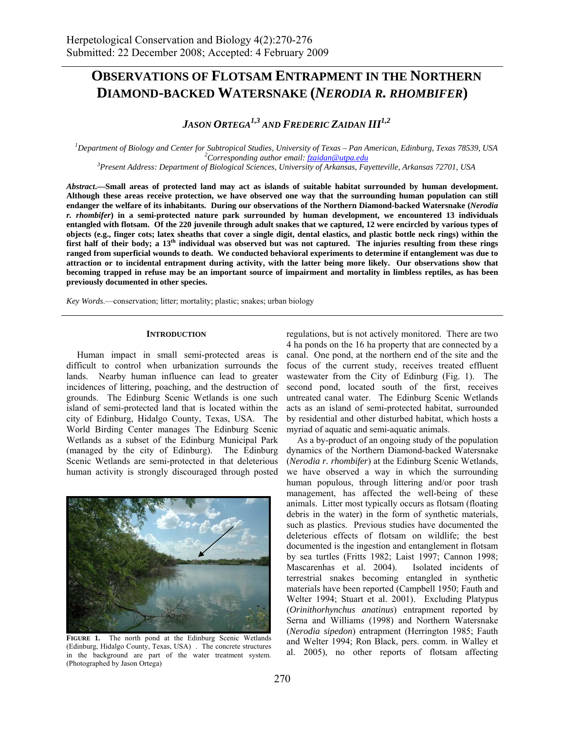## **OBSERVATIONS OF FLOTSAM ENTRAPMENT IN THE NORTHERN DIAMOND-BACKED WATERSNAKE (***NERODIA R. RHOMBIFER***)**

*JASON ORTEGA<sup>1,3</sup> AND FREDERIC ZAIDAN III<sup>1,2</sup>* 

*1 Department of Biology and Center for Subtropical Studies, University of Texas – Pan American, Edinburg, Texas 78539, USA 2 Corresponding author email: fzaidan@utpa.edu <sup>3</sup> Present Address: Department of Biological Sciences, University of Arkansas, Fayetteville, Arkansas 72701, USA* 

*Abstract***.—Small areas of protected land may act as islands of suitable habitat surrounded by human development.** 

**Although these areas receive protection, we have observed one way that the surrounding human population can still endanger the welfare of its inhabitants. During our observations of the Northern Diamond-backed Watersnake (***Nerodia r. rhombifer***) in a semi-protected nature park surrounded by human development, we encountered 13 individuals entangled with flotsam. Of the 220 juvenile through adult snakes that we captured, 12 were encircled by various types of objects (e.g., finger cots; latex sheaths that cover a single digit, dental elastics, and plastic bottle neck rings) within the first half of their body; a 13th individual was observed but was not captured. The injuries resulting from these rings ranged from superficial wounds to death. We conducted behavioral experiments to determine if entanglement was due to attraction or to incidental entrapment during activity, with the latter being more likely. Our observations show that becoming trapped in refuse may be an important source of impairment and mortality in limbless reptiles, as has been previously documented in other species.** 

*Key Words*.—conservation; litter; mortality; plastic; snakes; urban biology

#### **INTRODUCTION**

 Human impact in small semi-protected areas is difficult to control when urbanization surrounds the lands. Nearby human influence can lead to greater incidences of littering, poaching, and the destruction of grounds. The Edinburg Scenic Wetlands is one such island of semi-protected land that is located within the city of Edinburg, Hidalgo County, Texas, USA. The World Birding Center manages The Edinburg Scenic Wetlands as a subset of the Edinburg Municipal Park (managed by the city of Edinburg). The Edinburg Scenic Wetlands are semi-protected in that deleterious human activity is strongly discouraged through posted



FIGURE 1. The north pond at the Edinburg Scenic Wetlands (Edinburg, Hidalgo County, Texas, USA) . The concrete structures in the background are part of the water treatment system. (Photographed by Jason Ortega)

regulations, but is not actively monitored. There are two 4 ha ponds on the 16 ha property that are connected by a canal. One pond, at the northern end of the site and the focus of the current study, receives treated effluent wastewater from the City of Edinburg (Fig. 1). The second pond, located south of the first, receives untreated canal water. The Edinburg Scenic Wetlands acts as an island of semi-protected habitat, surrounded by residential and other disturbed habitat, which hosts a myriad of aquatic and semi-aquatic animals.

 As a by-product of an ongoing study of the population dynamics of the Northern Diamond-backed Watersnake (*Nerodia r. rhombifer*) at the Edinburg Scenic Wetlands, we have observed a way in which the surrounding human populous, through littering and/or poor trash management, has affected the well-being of these animals. Litter most typically occurs as flotsam (floating debris in the water) in the form of synthetic materials, such as plastics. Previous studies have documented the deleterious effects of flotsam on wildlife; the best documented is the ingestion and entanglement in flotsam by sea turtles (Fritts 1982; Laist 1997; Cannon 1998; Mascarenhas et al. 2004). Isolated incidents of terrestrial snakes becoming entangled in synthetic materials have been reported (Campbell 1950; Fauth and Welter 1994; Stuart et al. 2001). Excluding Platypus (*Orinithorhynchus anatinus*) entrapment reported by Serna and Williams (1998) and Northern Watersnake (*Nerodia sipedon*) entrapment (Herrington 1985; Fauth and Welter 1994; Ron Black, pers. comm. in Walley et al. 2005), no other reports of flotsam affecting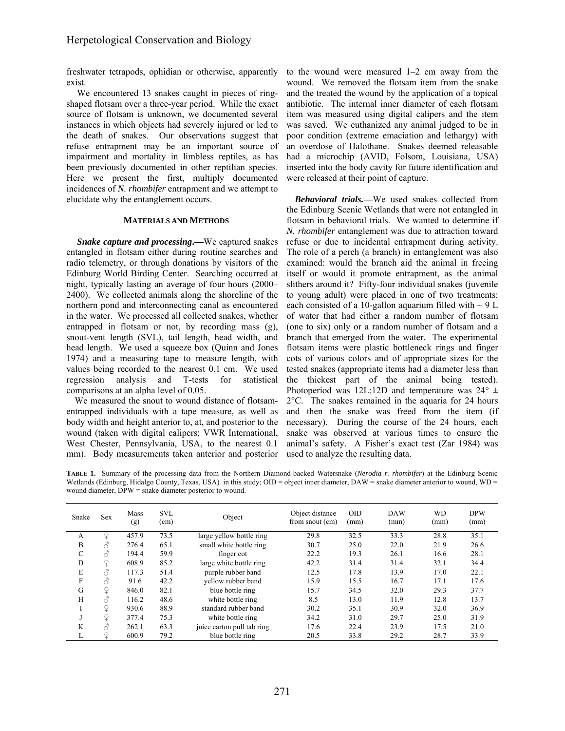freshwater tetrapods, ophidian or otherwise, apparently exist.

 We encountered 13 snakes caught in pieces of ringshaped flotsam over a three-year period. While the exact source of flotsam is unknown, we documented several instances in which objects had severely injured or led to the death of snakes. Our observations suggest that refuse entrapment may be an important source of impairment and mortality in limbless reptiles, as has been previously documented in other reptilian species. Here we present the first, multiply documented incidences of *N. rhombifer* entrapment and we attempt to elucidate why the entanglement occurs.

#### **MATERIALS AND METHODS**

 *Snake capture and processing***.—**We captured snakes entangled in flotsam either during routine searches and radio telemetry, or through donations by visitors of the Edinburg World Birding Center. Searching occurred at night, typically lasting an average of four hours (2000– 2400). We collected animals along the shoreline of the northern pond and interconnecting canal as encountered in the water. We processed all collected snakes, whether entrapped in flotsam or not, by recording mass (g), snout-vent length (SVL), tail length, head width, and head length. We used a squeeze box (Quinn and Jones 1974) and a measuring tape to measure length, with values being recorded to the nearest 0.1 cm. We used regression analysis and T-tests for statistical comparisons at an alpha level of 0.05.

We measured the snout to wound distance of flotsamentrapped individuals with a tape measure, as well as body width and height anterior to, at, and posterior to the wound (taken with digital calipers; VWR International, West Chester, Pennsylvania, USA, to the nearest 0.1 mm). Body measurements taken anterior and posterior

to the wound were measured 1–2 cm away from the wound. We removed the flotsam item from the snake and the treated the wound by the application of a topical antibiotic. The internal inner diameter of each flotsam item was measured using digital calipers and the item was saved. We euthanized any animal judged to be in poor condition (extreme emaciation and lethargy) with an overdose of Halothane. Snakes deemed releasable had a microchip (AVID, Folsom, Louisiana, USA) inserted into the body cavity for future identification and were released at their point of capture.

*Behavioral trials.***—**We used snakes collected from the Edinburg Scenic Wetlands that were not entangled in flotsam in behavioral trials. We wanted to determine if *N. rhombifer* entanglement was due to attraction toward refuse or due to incidental entrapment during activity. The role of a perch (a branch) in entanglement was also examined: would the branch aid the animal in freeing itself or would it promote entrapment, as the animal slithers around it? Fifty-four individual snakes (juvenile to young adult) were placed in one of two treatments: each consisted of a 10-gallon aquarium filled with  $\sim$  9 L of water that had either a random number of flotsam (one to six) only or a random number of flotsam and a branch that emerged from the water. The experimental flotsam items were plastic bottleneck rings and finger cots of various colors and of appropriate sizes for the tested snakes (appropriate items had a diameter less than the thickest part of the animal being tested). Photoperiod was 12L:12D and temperature was  $24^{\circ}$  ± 2°C. The snakes remained in the aquaria for 24 hours and then the snake was freed from the item (if necessary). During the course of the 24 hours, each snake was observed at various times to ensure the animal's safety. A Fisher's exact test (Zar 1984) was used to analyze the resulting data.

**TABLE 1.** Summary of the processing data from the Northern Diamond-backed Watersnake (*Nerodia r. rhombifer*) at the Edinburg Scenic Wetlands (Edinburg, Hidalgo County, Texas, USA) in this study; OID = object inner diameter, DAW = snake diameter anterior to wound, WD = wound diameter, DPW = snake diameter posterior to wound.

| Snake | <b>Sex</b> | Mass<br>(g) | <b>SVL</b><br>(cm) | Object                     | Object distance<br>from snout (cm) | <b>OID</b><br>(mm) | <b>DAW</b><br>(mm) | <b>WD</b><br>(mm) | <b>DPW</b><br>(mm) |
|-------|------------|-------------|--------------------|----------------------------|------------------------------------|--------------------|--------------------|-------------------|--------------------|
| A     | ₽          | 457.9       | 73.5               | large yellow bottle ring   | 29.8                               | 32.5               | 33.3               | 28.8              | 35.1               |
| B     |            | 276.4       | 65.1               | small white bottle ring    | 30.7                               | 25.0               | 22.0               | 21.9              | 26.6               |
| C     |            | 194.4       | 59.9               | finger cot                 | 22.2                               | 19.3               | 26.1               | 16.6              | 28.1               |
| D     | Q          | 608.9       | 85.2               | large white bottle ring    | 42.2                               | 31.4               | 31.4               | 32.1              | 34.4               |
| E     |            | 117.3       | 51.4               | purple rubber band         | 12.5                               | 17.8               | 13.9               | 17.0              | 22.1               |
| F     |            | 91.6        | 42.2               | vellow rubber band         | 15.9                               | 15.5               | 16.7               | 17.1              | 17.6               |
| G     | Q          | 846.0       | 82.1               | blue bottle ring           | 15.7                               | 34.5               | 32.0               | 29.3              | 37.7               |
| H     |            | 116.2       | 48.6               | white bottle ring          | 8.5                                | 13.0               | 11.9               | 12.8              | 13.7               |
|       | ♀          | 930.6       | 88.9               | standard rubber band       | 30.2                               | 35.1               | 30.9               | 32.0              | 36.9               |
|       | ¥          | 377.4       | 75.3               | white bottle ring          | 34.2                               | 31.0               | 29.7               | 25.0              | 31.9               |
| K     | Â          | 262.1       | 63.3               | juice carton pull tab ring | 17.6                               | 22.4               | 23.9               | 17.5              | 21.0               |
| ┻     |            | 600.9       | 79.2               | blue bottle ring           | 20.5                               | 33.8               | 29.2               | 28.7              | 33.9               |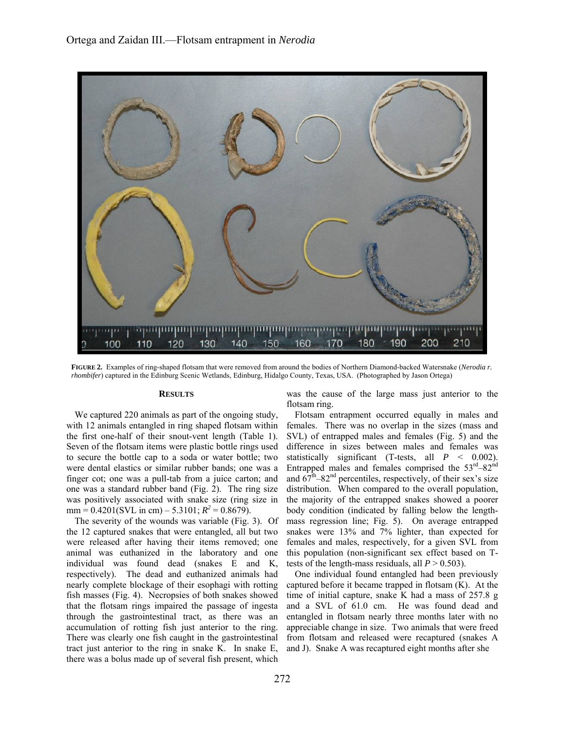

**FIGURE 2.** Examples of ring-shaped flotsam that were removed from around the bodies of Northern Diamond-backed Watersnake (*Nerodia r. rhombifer*) captured in the Edinburg Scenic Wetlands, Edinburg, Hidalgo County, Texas, USA. (Photographed by Jason Ortega)

#### **RESULTS**

We captured 220 animals as part of the ongoing study, with 12 animals entangled in ring shaped flotsam within the first one-half of their snout-vent length (Table 1). Seven of the flotsam items were plastic bottle rings used to secure the bottle cap to a soda or water bottle; two were dental elastics or similar rubber bands; one was a finger cot; one was a pull-tab from a juice carton; and one was a standard rubber band (Fig. 2). The ring size was positively associated with snake size (ring size in  $mm = 0.4201(SVL in cm) - 5.3101; R<sup>2</sup> = 0.8679.$ 

The severity of the wounds was variable (Fig. 3). Of the 12 captured snakes that were entangled, all but two were released after having their items removed; one animal was euthanized in the laboratory and one individual was found dead (snakes E and K, respectively). The dead and euthanized animals had nearly complete blockage of their esophagi with rotting fish masses (Fig. 4). Necropsies of both snakes showed that the flotsam rings impaired the passage of ingesta through the gastrointestinal tract, as there was an accumulation of rotting fish just anterior to the ring. There was clearly one fish caught in the gastrointestinal tract just anterior to the ring in snake K. In snake E, there was a bolus made up of several fish present, which

was the cause of the large mass just anterior to the flotsam ring.

Flotsam entrapment occurred equally in males and females. There was no overlap in the sizes (mass and SVL) of entrapped males and females (Fig. 5) and the difference in sizes between males and females was statistically significant (T-tests, all *P* < 0.002). Entrapped males and females comprised the  $53<sup>rd</sup>-82<sup>nd</sup>$ and  $67<sup>th</sup>-82<sup>nd</sup>$  percentiles, respectively, of their sex's size distribution. When compared to the overall population, the majority of the entrapped snakes showed a poorer body condition (indicated by falling below the lengthmass regression line; Fig. 5). On average entrapped snakes were 13% and 7% lighter, than expected for females and males, respectively, for a given SVL from this population (non-significant sex effect based on Ttests of the length-mass residuals, all  $P > 0.503$ ).

One individual found entangled had been previously captured before it became trapped in flotsam (K). At the time of initial capture, snake K had a mass of 257.8 g and a SVL of 61.0 cm. He was found dead and entangled in flotsam nearly three months later with no appreciable change in size. Two animals that were freed from flotsam and released were recaptured (snakes A and J). Snake A was recaptured eight months after she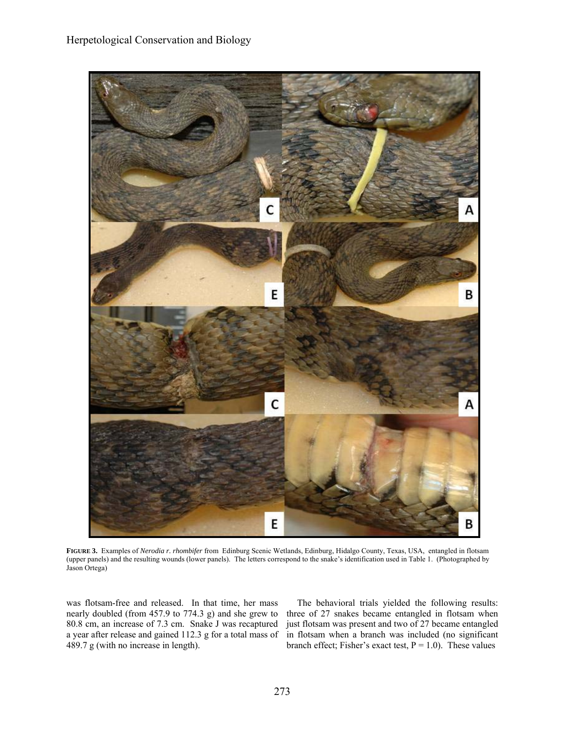

**FIGURE 3.** Examples of *Nerodia r. rhombifer* from Edinburg Scenic Wetlands, Edinburg, Hidalgo County, Texas, USA, entangled in flotsam (upper panels) and the resulting wounds (lower panels). The letters correspond to the snake's identification used in Table 1. (Photographed by Jason Ortega)

was flotsam-free and released. In that time, her mass nearly doubled (from 457.9 to 774.3 g) and she grew to 80.8 cm, an increase of 7.3 cm. Snake J was recaptured a year after release and gained 112.3 g for a total mass of 489.7 g (with no increase in length).

 The behavioral trials yielded the following results: three of 27 snakes became entangled in flotsam when just flotsam was present and two of 27 became entangled in flotsam when a branch was included (no significant branch effect; Fisher's exact test,  $P = 1.0$ ). These values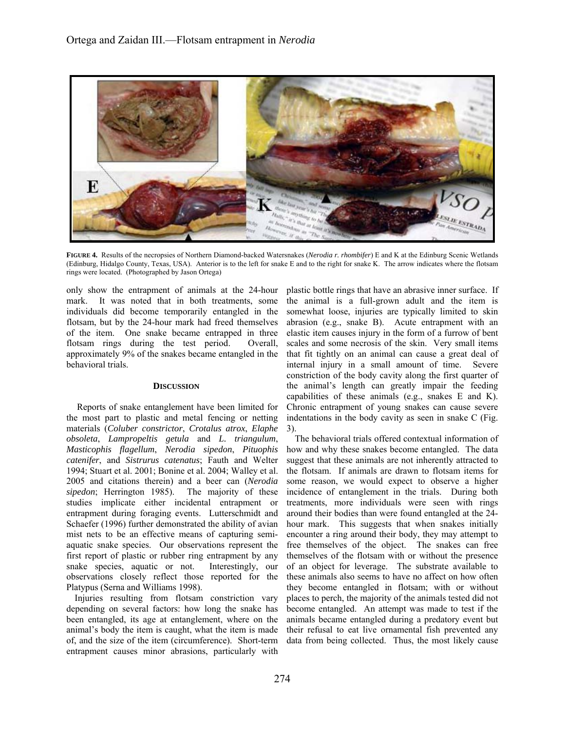

**FIGURE 4.** Results of the necropsies of Northern Diamond-backed Watersnakes (*Nerodia r. rhombifer*) E and K at the Edinburg Scenic Wetlands (Edinburg, Hidalgo County, Texas, USA). Anterior is to the left for snake E and to the right for snake K. The arrow indicates where the flotsam rings were located. (Photographed by Jason Ortega)

only show the entrapment of animals at the 24-hour mark. It was noted that in both treatments, some individuals did become temporarily entangled in the flotsam, but by the 24-hour mark had freed themselves of the item. One snake became entrapped in three flotsam rings during the test period. Overall, approximately 9% of the snakes became entangled in the behavioral trials.

#### **DISCUSSION**

 Reports of snake entanglement have been limited for the most part to plastic and metal fencing or netting materials (*Coluber constrictor*, *Crotalus atrox*, *Elaphe obsoleta*, *Lampropeltis getula* and *L. triangulum*, *Masticophis flagellum*, *Nerodia sipedon*, *Pituophis catenifer*, and *Sistrurus catenatus*; Fauth and Welter 1994; Stuart et al. 2001; Bonine et al. 2004; Walley et al. 2005 and citations therein) and a beer can (*Nerodia sipedon*; Herrington 1985). The majority of these studies implicate either incidental entrapment or entrapment during foraging events. Lutterschmidt and Schaefer (1996) further demonstrated the ability of avian mist nets to be an effective means of capturing semiaquatic snake species. Our observations represent the first report of plastic or rubber ring entrapment by any snake species, aquatic or not. Interestingly, our observations closely reflect those reported for the Platypus (Serna and Williams 1998).

Injuries resulting from flotsam constriction vary depending on several factors: how long the snake has been entangled, its age at entanglement, where on the animal's body the item is caught, what the item is made of, and the size of the item (circumference). Short-term entrapment causes minor abrasions, particularly with

plastic bottle rings that have an abrasive inner surface. If the animal is a full-grown adult and the item is somewhat loose, injuries are typically limited to skin abrasion (e.g., snake B). Acute entrapment with an elastic item causes injury in the form of a furrow of bent scales and some necrosis of the skin. Very small items that fit tightly on an animal can cause a great deal of internal injury in a small amount of time. Severe constriction of the body cavity along the first quarter of the animal's length can greatly impair the feeding capabilities of these animals (e.g., snakes E and K). Chronic entrapment of young snakes can cause severe indentations in the body cavity as seen in snake C (Fig. 3).

The behavioral trials offered contextual information of how and why these snakes become entangled. The data suggest that these animals are not inherently attracted to the flotsam. If animals are drawn to flotsam items for some reason, we would expect to observe a higher incidence of entanglement in the trials. During both treatments, more individuals were seen with rings around their bodies than were found entangled at the 24 hour mark. This suggests that when snakes initially encounter a ring around their body, they may attempt to free themselves of the object. The snakes can free themselves of the flotsam with or without the presence of an object for leverage. The substrate available to these animals also seems to have no affect on how often they become entangled in flotsam; with or without places to perch, the majority of the animals tested did not become entangled. An attempt was made to test if the animals became entangled during a predatory event but their refusal to eat live ornamental fish prevented any data from being collected. Thus, the most likely cause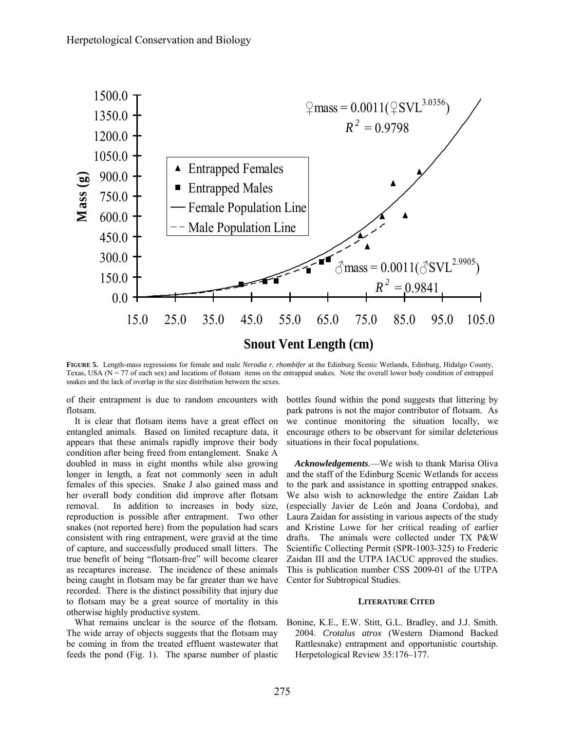

**FIGURE 5.** Length-mass regressions for female and male *Nerodia r. rhombifer* at the Edinburg Scenic Wetlands, Edinburg, Hidalgo County, Texas, USA ( $N = 77$  of each sex) and locations of flotsam items on the entrapped snakes. Note the overall lower body condition of entrapped snakes and the lack of overlap in the size distribution between the sexes.

of their entrapment is due to random encounters with flotsam.

It is clear that flotsam items have a great effect on entangled animals. Based on limited recapture data, it appears that these animals rapidly improve their body condition after being freed from entanglement. Snake A doubled in mass in eight months while also growing longer in length, a feat not commonly seen in adult females of this species. Snake J also gained mass and her overall body condition did improve after flotsam removal. In addition to increases in body size, reproduction is possible after entrapment. Two other snakes (not reported here) from the population had scars consistent with ring entrapment, were gravid at the time of capture, and successfully produced small litters. The true benefit of being "flotsam-free" will become clearer as recaptures increase. The incidence of these animals being caught in flotsam may be far greater than we have recorded. There is the distinct possibility that injury due to flotsam may be a great source of mortality in this otherwise highly productive system.

What remains unclear is the source of the flotsam. The wide array of objects suggests that the flotsam may be coming in from the treated effluent wastewater that feeds the pond (Fig. 1). The sparse number of plastic bottles found within the pond suggests that littering by park patrons is not the major contributor of flotsam. As we continue monitoring the situation locally, we encourage others to be observant for similar deleterious situations in their focal populations.

*Acknowledgements.*—We wish to thank Marisa Oliva and the staff of the Edinburg Scenic Wetlands for access to the park and assistance in spotting entrapped snakes. We also wish to acknowledge the entire Zaidan Lab (especially Javier de León and Joana Cordoba), and Laura Zaidan for assisting in various aspects of the study and Kristine Lowe for her critical reading of earlier drafts. The animals were collected under TX P&W Scientific Collecting Permit (SPR-1003-325) to Frederic Zaidan III and the UTPA IACUC approved the studies. This is publication number CSS 2009-01 of the UTPA Center for Subtropical Studies.

#### **LITERATURE CITED**

Bonine, K.E., E.W. Stitt, G.L. Bradley, and J.J. Smith. 2004. *Crotalus atrox* (Western Diamond Backed Rattlesnake) entrapment and opportunistic courtship. Herpetological Review 35:176–177.